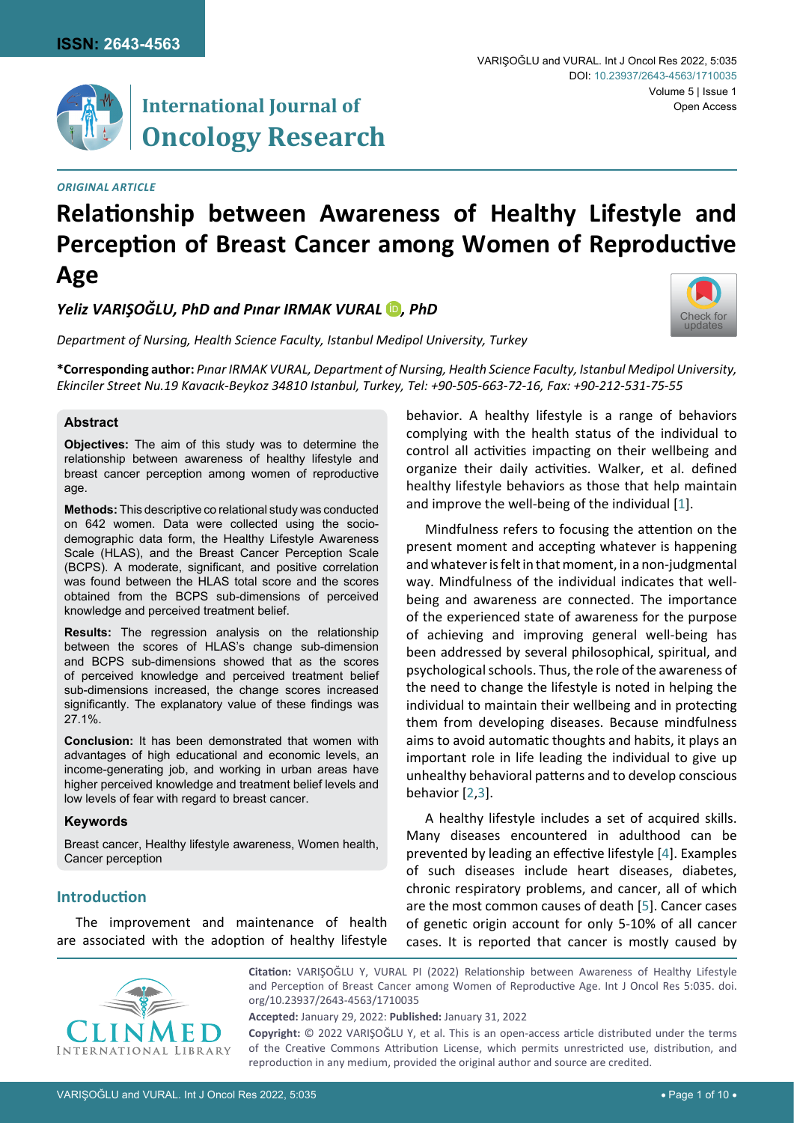



## **International Journal of Oncology Research**

#### *Original Article*

# **Relationship between Awareness of Healthy Lifestyle and Perception of Breast Cancer among Women of Reproductive Age**

*Yeliz VARIŞOĞLU, PhD and Pınar IRMAK VURAL D, PhD* 

*Department of Nursing, Health Science Faculty, Istanbul Medipol University, Turkey*



**\*Corresponding author:** *Pınar IRMAK VURAL, Department of Nursing, Health Science Faculty, Istanbul Medipol University, Ekinciler Street Nu.19 Kavacık-Beykoz 34810 Istanbul, Turkey, Tel: +90-505-663-72-16, Fax: +90-212-531-75-55*

#### **Abstract**

**Objectives:** The aim of this study was to determine the relationship between awareness of healthy lifestyle and breast cancer perception among women of reproductive age.

**Methods:** This descriptive co relational study was conducted on 642 women. Data were collected using the sociodemographic data form, the Healthy Lifestyle Awareness Scale (HLAS), and the Breast Cancer Perception Scale (BCPS). A moderate, significant, and positive correlation was found between the HLAS total score and the scores obtained from the BCPS sub-dimensions of perceived knowledge and perceived treatment belief.

**Results:** The regression analysis on the relationship between the scores of HLAS's change sub-dimension and BCPS sub-dimensions showed that as the scores of perceived knowledge and perceived treatment belief sub-dimensions increased, the change scores increased significantly. The explanatory value of these findings was 27.1%.

**Conclusion:** It has been demonstrated that women with advantages of high educational and economic levels, an income-generating job, and working in urban areas have higher perceived knowledge and treatment belief levels and low levels of fear with regard to breast cancer.

## **Keywords**

Breast cancer, Healthy lifestyle awareness, Women health, Cancer perception

## **Introduction**

The improvement and maintenance of health are associated with the adoption of healthy lifestyle behavior. A healthy lifestyle is a range of behaviors complying with the health status of the individual to control all activities impacting on their wellbeing and organize their daily activities. Walker, et al. defined healthy lifestyle behaviors as those that help maintain and improve the well-being of the individual [\[1](#page-8-0)].

Mindfulness refers to focusing the attention on the present moment and accepting whatever is happening and whatever is felt in that moment, in a non-judgmental way. Mindfulness of the individual indicates that wellbeing and awareness are connected. The importance of the experienced state of awareness for the purpose of achieving and improving general well-being has been addressed by several philosophical, spiritual, and psychological schools. Thus, the role of the awareness of the need to change the lifestyle is noted in helping the individual to maintain their wellbeing and in protecting them from developing diseases. Because mindfulness aims to avoid automatic thoughts and habits, it plays an important role in life leading the individual to give up unhealthy behavioral patterns and to develop conscious behavior [\[2,](#page-8-1)[3\]](#page-8-2).

A healthy lifestyle includes a set of acquired skills. Many diseases encountered in adulthood can be prevented by leading an effective lifestyle [\[4\]](#page-8-3). Examples of such diseases include heart diseases, diabetes, chronic respiratory problems, and cancer, all of which are the most common causes of death [\[5\]](#page-8-4). Cancer cases of genetic origin account for only 5-10% of all cancer cases. It is reported that cancer is mostly caused by



**Citation:** VARIŞOĞLU Y, VURAL PI (2022) Relationship between Awareness of Healthy Lifestyle and Perception of Breast Cancer among Women of Reproductive Age. Int J Oncol Res 5:035. [doi.](https://doi.org/10.23937/2643-4563/1710035) [org/10.23937/2643-4563/1710035](https://doi.org/10.23937/2643-4563/1710035)

**Accepted:** January 29, 2022: **Published:** January 31, 2022

**Copyright:** © 2022 VARIŞOĞLU Y, et al. This is an open-access article distributed under the terms of the Creative Commons Attribution License, which permits unrestricted use, distribution, and reproduction in any medium, provided the original author and source are credited.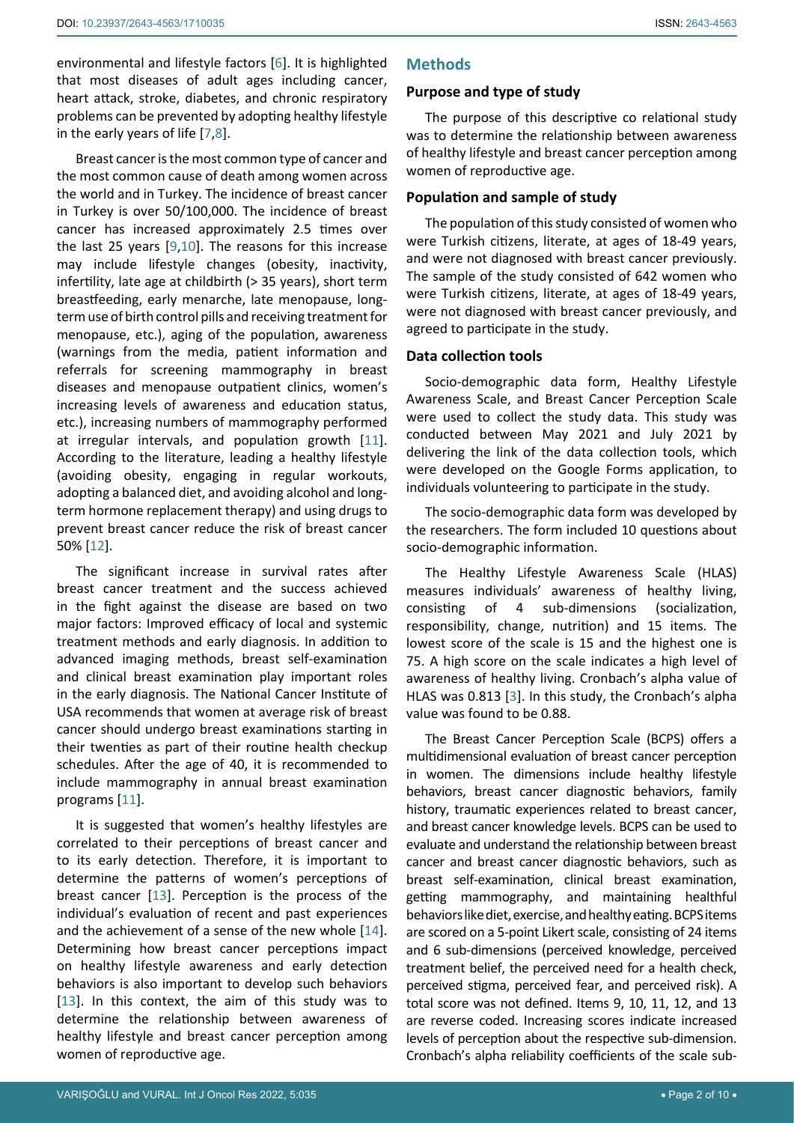environmental and lifestyle factors [\[6\]](#page-8-5). It is highlighted that most diseases of adult ages including cancer, heart attack, stroke, diabetes, and chronic respiratory problems can be prevented by adopting healthy lifestyle in the early years of life [\[7,](#page-8-6)[8](#page-8-7)].

Breast cancer is the most common type of cancer and the most common cause of death among women across the world and in Turkey. The incidence of breast cancer in Turkey is over 50/100,000. The incidence of breast cancer has increased approximately 2.5 times over the last 25 years [\[9,](#page-8-8)[10\]](#page-8-9). The reasons for this increase may include lifestyle changes (obesity, inactivity, infertility, late age at childbirth (> 35 years), short term breastfeeding, early menarche, late menopause, longterm use of birth control pills and receiving treatment for menopause, etc.), aging of the population, awareness (warnings from the media, patient information and referrals for screening mammography in breast diseases and menopause outpatient clinics, women's increasing levels of awareness and education status, etc.), increasing numbers of mammography performed at irregular intervals, and population growth [\[11](#page-8-10)]. According to the literature, leading a healthy lifestyle (avoiding obesity, engaging in regular workouts, adopting a balanced diet, and avoiding alcohol and longterm hormone replacement therapy) and using drugs to prevent breast cancer reduce the risk of breast cancer 50% [\[12\]](#page-8-11).

The significant increase in survival rates after breast cancer treatment and the success achieved in the fight against the disease are based on two major factors: Improved efficacy of local and systemic treatment methods and early diagnosis. In addition to advanced imaging methods, breast self-examination and clinical breast examination play important roles in the early diagnosis. The National Cancer Institute of USA recommends that women at average risk of breast cancer should undergo breast examinations starting in their twenties as part of their routine health checkup schedules. After the age of 40, it is recommended to include mammography in annual breast examination programs [\[11](#page-8-10)].

It is suggested that women's healthy lifestyles are correlated to their perceptions of breast cancer and to its early detection. Therefore, it is important to determine the patterns of women's perceptions of breast cancer [\[13](#page-8-12)]. Perception is the process of the individual's evaluation of recent and past experiences and the achievement of a sense of the new whole [\[14](#page-8-13)]. Determining how breast cancer perceptions impact on healthy lifestyle awareness and early detection behaviors is also important to develop such behaviors [[13](#page-8-12)]. In this context, the aim of this study was to determine the relationship between awareness of healthy lifestyle and breast cancer perception among women of reproductive age.

## **Methods**

## **Purpose and type of study**

The purpose of this descriptive co relational study was to determine the relationship between awareness of healthy lifestyle and breast cancer perception among women of reproductive age.

## **Population and sample of study**

The population of this study consisted of women who were Turkish citizens, literate, at ages of 18-49 years, and were not diagnosed with breast cancer previously. The sample of the study consisted of 642 women who were Turkish citizens, literate, at ages of 18-49 years, were not diagnosed with breast cancer previously, and agreed to participate in the study.

## **Data collection tools**

Socio-demographic data form, Healthy Lifestyle Awareness Scale, and Breast Cancer Perception Scale were used to collect the study data. This study was conducted between May 2021 and July 2021 by delivering the link of the data collection tools, which were developed on the Google Forms application, to individuals volunteering to participate in the study.

The socio-demographic data form was developed by the researchers. The form included 10 questions about socio-demographic information.

The Healthy Lifestyle Awareness Scale (HLAS) measures individuals' awareness of healthy living, consisting of 4 sub-dimensions (socialization, responsibility, change, nutrition) and 15 items. The lowest score of the scale is 15 and the highest one is 75. A high score on the scale indicates a high level of awareness of healthy living. Cronbach's alpha value of HLAS was 0.813 [\[3\]](#page-8-2). In this study, the Cronbach's alpha value was found to be 0.88.

The Breast Cancer Perception Scale (BCPS) offers a multidimensional evaluation of breast cancer perception in women. The dimensions include healthy lifestyle behaviors, breast cancer diagnostic behaviors, family history, traumatic experiences related to breast cancer, and breast cancer knowledge levels. BCPS can be used to evaluate and understand the relationship between breast cancer and breast cancer diagnostic behaviors, such as breast self-examination, clinical breast examination, getting mammography, and maintaining healthful behaviors like diet, exercise, and healthy eating. BCPS items are scored on a 5-point Likert scale, consisting of 24 items and 6 sub-dimensions (perceived knowledge, perceived treatment belief, the perceived need for a health check, perceived stigma, perceived fear, and perceived risk). A total score was not defined. Items 9, 10, 11, 12, and 13 are reverse coded. Increasing scores indicate increased levels of perception about the respective sub-dimension. Cronbach's alpha reliability coefficients of the scale sub-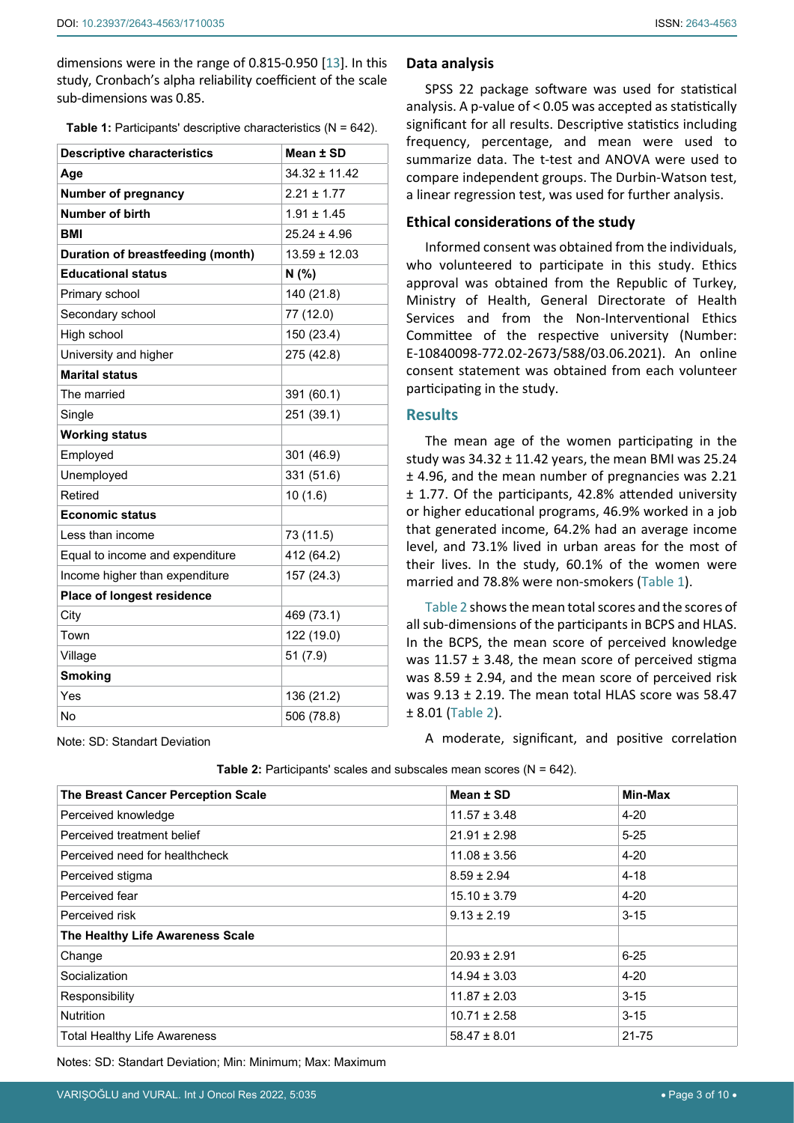dimensions were in the range of 0.815-0.950 [\[13](#page-8-12)]. In this study, Cronbach's alpha reliability coefficient of the scale sub-dimensions was 0.85.

<span id="page-2-0"></span>**Table 1:** Participants' descriptive characteristics (N = 642).

| <b>Descriptive characteristics</b> | Mean ± SD         |
|------------------------------------|-------------------|
| Age                                | $34.32 \pm 11.42$ |
| <b>Number of pregnancy</b>         | $2.21 \pm 1.77$   |
| Number of birth                    | $1.91 \pm 1.45$   |
| BMI                                | $25.24 \pm 4.96$  |
| Duration of breastfeeding (month)  | $13.59 \pm 12.03$ |
| <b>Educational status</b>          | N(% )             |
| Primary school                     | 140 (21.8)        |
| Secondary school                   | 77 (12.0)         |
| High school                        | 150 (23.4)        |
| University and higher              | 275 (42.8)        |
| <b>Marital status</b>              |                   |
| The married                        | 391 (60.1)        |
| Single                             | 251 (39.1)        |
| <b>Working status</b>              |                   |
| Employed                           | 301 (46.9)        |
| Unemployed                         | 331 (51.6)        |
| Retired                            | 10(1.6)           |
| <b>Economic status</b>             |                   |
| Less than income                   | 73 (11.5)         |
| Equal to income and expenditure    | 412 (64.2)        |
| Income higher than expenditure     | 157 (24.3)        |
| <b>Place of longest residence</b>  |                   |
| City                               | 469 (73.1)        |
| Town                               | 122 (19.0)        |
| Village                            | 51(7.9)           |
| <b>Smoking</b>                     |                   |
| Yes                                | 136 (21.2)        |
| No                                 | 506 (78.8)        |

#### **Data analysis**

SPSS 22 package software was used for statistical analysis. A p-value of < 0.05 was accepted as statistically significant for all results. Descriptive statistics including frequency, percentage, and mean were used to summarize data. The t-test and ANOVA were used to compare independent groups. The Durbin-Watson test, a linear regression test, was used for further analysis.

#### **Ethical considerations of the study**

Informed consent was obtained from the individuals, who volunteered to participate in this study. Ethics approval was obtained from the Republic of Turkey, Ministry of Health, General Directorate of Health Services and from the Non-Interventional Ethics Committee of the respective university (Number: E-10840098-772.02-2673/588/03.06.2021). An online consent statement was obtained from each volunteer participating in the study.

### **Results**

The mean age of the women participating in the study was  $34.32 \pm 11.42$  years, the mean BMI was 25.24 ± 4.96, and the mean number of pregnancies was 2.21 ± 1.77. Of the participants, 42.8% attended university or higher educational programs, 46.9% worked in a job that generated income, 64.2% had an average income level, and 73.1% lived in urban areas for the most of their lives. In the study, 60.1% of the women were married and 78.8% were non-smokers [\(Table 1\)](#page-2-0).

[Table 2](#page-2-1) shows the mean total scores and the scores of all sub-dimensions of the participants in BCPS and HLAS. In the BCPS, the mean score of perceived knowledge was  $11.57 \pm 3.48$ , the mean score of perceived stigma was 8.59 ± 2.94, and the mean score of perceived risk was 9.13 ± 2.19. The mean total HLAS score was 58.47 ± 8.01 [\(Table 2](#page-2-1)).

A moderate, significant, and positive correlation

| The Breast Cancer Perception Scale  | Mean ± SD        | Min-Max   |
|-------------------------------------|------------------|-----------|
| Perceived knowledge                 | $11.57 \pm 3.48$ | $4 - 20$  |
| Perceived treatment belief          | $21.91 \pm 2.98$ | $5 - 25$  |
| Perceived need for healthcheck      | $11.08 \pm 3.56$ | $4 - 20$  |
| Perceived stigma                    | $8.59 \pm 2.94$  | $4 - 18$  |
| Perceived fear                      | $15.10 \pm 3.79$ | $4 - 20$  |
| Perceived risk                      | $9.13 \pm 2.19$  | $3 - 15$  |
| The Healthy Life Awareness Scale    |                  |           |
| Change                              | $20.93 \pm 2.91$ | $6 - 25$  |
| Socialization                       | $14.94 \pm 3.03$ | $4 - 20$  |
| Responsibility                      | $11.87 \pm 2.03$ | $3 - 15$  |
| <b>Nutrition</b>                    | $10.71 \pm 2.58$ | $3 - 15$  |
| <b>Total Healthy Life Awareness</b> | $58.47 \pm 8.01$ | $21 - 75$ |

<span id="page-2-1"></span>**Table 2:** Participants' scales and subscales mean scores (N = 642).

Notes: SD: Standart Deviation; Min: Minimum; Max: Maximum

Note: SD: Standart Deviation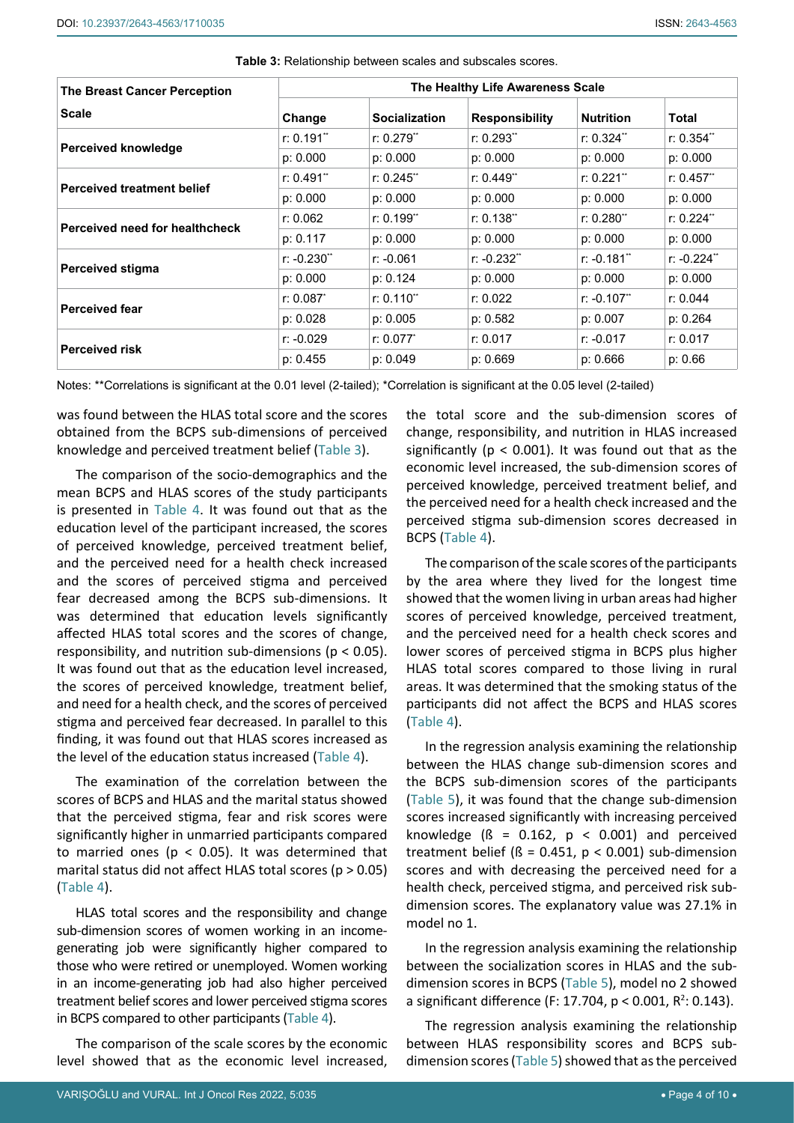| <b>The Breast Cancer Perception</b> |               |                      | The Healthy Life Awareness Scale |                  |               |
|-------------------------------------|---------------|----------------------|----------------------------------|------------------|---------------|
| <b>Scale</b>                        | Change        | <b>Socialization</b> | <b>Responsibility</b>            | <b>Nutrition</b> | Total         |
|                                     | r: 0.191"     | r: 0.279"            | r: 0.293"                        | r: 0.324"        | r: 0.354"     |
| Perceived knowledge                 | p: 0.000      | p: 0.000             | p: 0.000                         | p: 0.000         | p: 0.000      |
|                                     | $r: 0.491$ ** | $r: 0.245$ **        | r: 0.449"                        | r: 0.221"        | $r: 0.457$ "  |
| <b>Perceived treatment belief</b>   | p: 0.000      | p: 0.000             | p: 0.000                         | p: 0.000         | p: 0.000      |
| Perceived need for healthcheck      | r: 0.062      | r: 0.199"            | r: 0.138"                        | r: 0.280"        | $r: 0.224$ ** |
|                                     | p: 0.117      | p: 0.000<br>p: 0.000 |                                  | p: 0.000         | p: 0.000      |
|                                     | $r: -0.230"$  | $r: -0.061$          | $r: -0.232"$                     | $r: -0.181"$     | $r: -0.224"$  |
| <b>Perceived stigma</b>             | p: 0.000      | p: 0.124             | p: 0.000                         | p: 0.000         | p: 0.000      |
| <b>Perceived fear</b>               | $r: 0.087^*$  | r: 0.110"            | r: 0.022                         | $r: -0.107$      | r: 0.044      |
|                                     | p: 0.028      | p: 0.005             | p: 0.582                         | p: 0.007         | p: 0.264      |
|                                     | $r: -0.029$   | r: 0.077             | r: 0.017                         | $r: -0.017$      | r: 0.017      |
| <b>Perceived risk</b>               | p: 0.455      | p: 0.049             | p: 0.669                         | p: 0.666         | p: 0.66       |

<span id="page-3-0"></span>**Table 3:** Relationship between scales and subscales scores.

Notes: \*\*Correlations is significant at the 0.01 level (2-tailed); \*Correlation is significant at the 0.05 level (2-tailed)

was found between the HLAS total score and the scores obtained from the BCPS sub-dimensions of perceived knowledge and perceived treatment belief ([Table 3](#page-3-0)).

The comparison of the socio-demographics and the mean BCPS and HLAS scores of the study participants is presented in [Table 4.](#page-4-0) It was found out that as the education level of the participant increased, the scores of perceived knowledge, perceived treatment belief, and the perceived need for a health check increased and the scores of perceived stigma and perceived fear decreased among the BCPS sub-dimensions. It was determined that education levels significantly affected HLAS total scores and the scores of change, responsibility, and nutrition sub-dimensions (p < 0.05). It was found out that as the education level increased, the scores of perceived knowledge, treatment belief, and need for a health check, and the scores of perceived stigma and perceived fear decreased. In parallel to this finding, it was found out that HLAS scores increased as the level of the education status increased [\(Table 4](#page-4-0)).

The examination of the correlation between the scores of BCPS and HLAS and the marital status showed that the perceived stigma, fear and risk scores were significantly higher in unmarried participants compared to married ones ( $p < 0.05$ ). It was determined that marital status did not affect HLAS total scores ( $p > 0.05$ ) ([Table 4](#page-4-0)).

HLAS total scores and the responsibility and change sub-dimension scores of women working in an incomegenerating job were significantly higher compared to those who were retired or unemployed. Women working in an income-generating job had also higher perceived treatment belief scores and lower perceived stigma scores in BCPS compared to other participants ([Table 4](#page-4-0)).

The comparison of the scale scores by the economic level showed that as the economic level increased,

the total score and the sub-dimension scores of change, responsibility, and nutrition in HLAS increased significantly ( $p < 0.001$ ). It was found out that as the economic level increased, the sub-dimension scores of perceived knowledge, perceived treatment belief, and the perceived need for a health check increased and the perceived stigma sub-dimension scores decreased in BCPS [\(Table 4\)](#page-4-0).

The comparison of the scale scores of the participants by the area where they lived for the longest time showed that the women living in urban areas had higher scores of perceived knowledge, perceived treatment, and the perceived need for a health check scores and lower scores of perceived stigma in BCPS plus higher HLAS total scores compared to those living in rural areas. It was determined that the smoking status of the participants did not affect the BCPS and HLAS scores [\(Table 4\)](#page-4-0).

In the regression analysis examining the relationship between the HLAS change sub-dimension scores and the BCPS sub-dimension scores of the participants [\(Table 5](#page-6-0)), it was found that the change sub-dimension scores increased significantly with increasing perceived knowledge ( $\beta$  = 0.162,  $p$  < 0.001) and perceived treatment belief ( $\beta$  = 0.451,  $p$  < 0.001) sub-dimension scores and with decreasing the perceived need for a health check, perceived stigma, and perceived risk subdimension scores. The explanatory value was 27.1% in model no 1.

In the regression analysis examining the relationship between the socialization scores in HLAS and the subdimension scores in BCPS ([Table 5](#page-6-0)), model no 2 showed a significant difference (F: 17.704,  $p < 0.001$ , R<sup>2</sup>: 0.143).

The regression analysis examining the relationship between HLAS responsibility scores and BCPS subdimension scores ([Table 5\)](#page-6-0) showed that as the perceived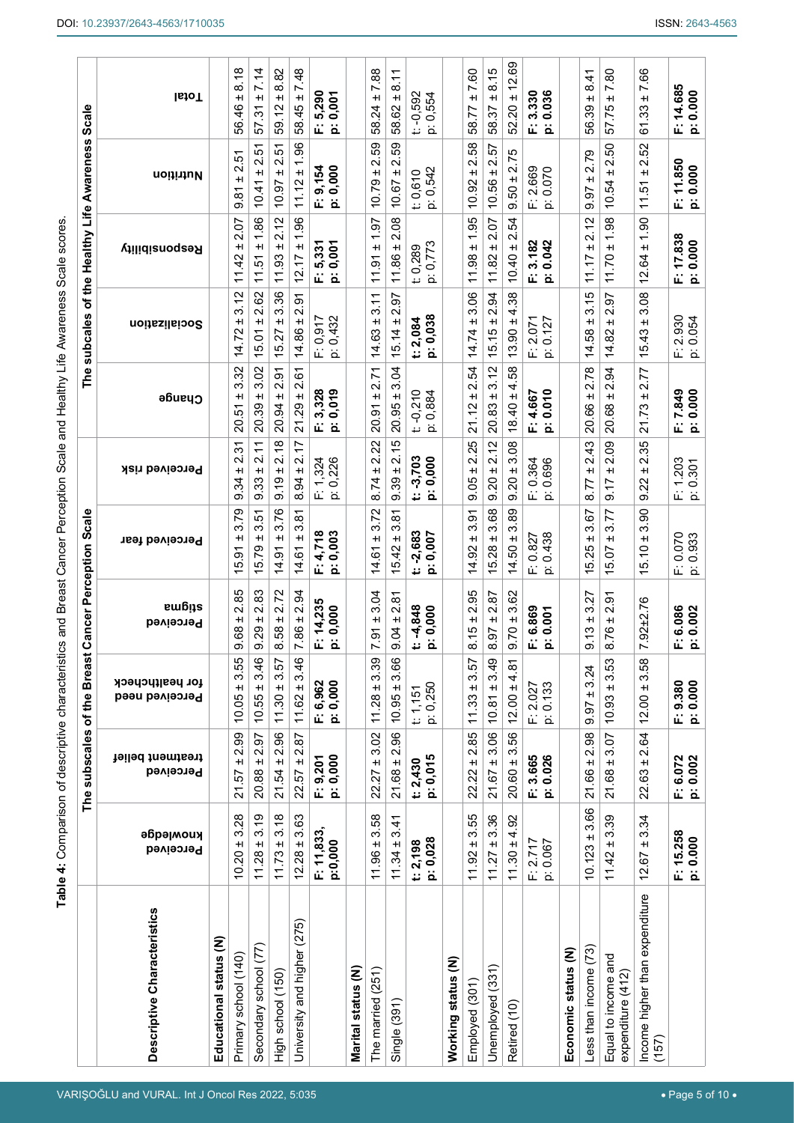<span id="page-4-0"></span>VARIŞOĞLU and VURAL. Int J Oncol Res 2022, 5:035

|                                          |                        | The subscales of the Breast   |                                                     | <b>Cancer Perception Scale</b>                                 |                                                         |                                                    |                                                     | The subcales of the Healthy Life Awareness Scale       |                                              |                                                           |                                              |
|------------------------------------------|------------------------|-------------------------------|-----------------------------------------------------|----------------------------------------------------------------|---------------------------------------------------------|----------------------------------------------------|-----------------------------------------------------|--------------------------------------------------------|----------------------------------------------|-----------------------------------------------------------|----------------------------------------------|
| Descriptive Characteristics              | ниомједде<br>Perceived | treatment belief<br>Perceived | for healthcheck<br>Perceived need                   | stigma<br>Perceived                                            | Perceived fear                                          | Perceived risk                                     | Change                                              | Socialization                                          | Reabousibility                               | Nutrition                                                 | <b>IstoT</b>                                 |
| Educational status (N)                   |                        |                               |                                                     |                                                                |                                                         |                                                    |                                                     |                                                        |                                              |                                                           |                                              |
| Primary school (140)                     | 3.28<br>$+1$<br>10.20  | 2.99<br>$+$<br>21.57          | 3.55<br>$+1$<br>10.05                               | 2.85<br>+I<br>9.68                                             | 3.79<br>$\pm$<br>$\overline{5}$<br>τò                   | $\tilde{\bm{5}}$<br>$\sim$<br>H<br>9.34            | 3.32<br>+I<br><u>يّ</u><br>$\ddot{8}$               | 3.12<br>+I<br>14.72                                    | 2.07<br>H<br>42<br>$\tilde{\tau}$            | 5<br>$\mathbf{\Omega}$<br>+I<br>9.81                      | 8.18<br>+I<br>56.46                          |
| Secondary school (77)                    | 3.19<br>$+1$<br>11.28  | 2.97<br>$+1$<br>20.88         | 3.46<br>$+1$<br>10.55                               | 83<br>$\mathbf{\Omega}$<br>$\pm$<br>29<br>თ                    | ŗδ<br>ო<br>H<br>5.79                                    | $\tilde{\tau}$<br>۸İ<br>$\pm$<br>33<br>တ           | 3.02<br>$\pm$<br>20.39                              | 2.62<br>$\pm$<br>15.01                                 | 1.86<br>$\pm$<br>57<br>$\tilde{\mathcal{L}}$ | ŗό<br>$\mathbf{\Omega}$<br>$\pm$<br>स्<br>ó.              | 7.14<br>$\pm$<br>$\tilde{\mathcal{E}}$<br>57 |
| High school (150)                        | 3.18<br>$+1$<br>11.73  | $21.54 \pm 2.96$              | $11.30 \pm 3.57$                                    | 2.72<br>$+1$<br>58<br>$\infty$                                 | 3.76<br>$\pm$<br>$\overline{5}$<br>4.                   | 2.18<br>$+1$<br>0.19                               | 2.91<br>$+1$<br>20.94                               | 3.36<br>$+1$<br>15.27                                  | 2.12<br>$+1$<br>3<br>$\overline{ }$          | <u>ي</u><br>$\mathbf{\dot{v}}$<br>$+1$<br>10.97           | 8.82<br>$+1$<br>59.12                        |
| University and higher (275)              | $12.28 \pm 3.63$       | $22.57 \pm 2.87$              | $11.62 \pm 3.46$                                    | 2.94<br>$+1$<br>86<br>Ľ                                        | $\overline{\infty}$<br>က<br>$+1$<br>14.61               | 2.17<br>$+1$<br>8.94                               | <u>ی</u><br>N<br>$+1$<br>29<br><u>ন</u>             | 2.91<br>$\pm$<br>14.86                                 | 96<br>↽<br>$+1$<br>12.17                     | 1.96<br>$+1$<br>11.12                                     | 7.48<br>$+1$<br>58.45                        |
|                                          | F: 11,833,<br>p:0,000  | F: 9,201<br>p: 0,000          | F: 6,962<br>p: 0,000                                | 14,235<br>0,000<br>خة<br>û.                                    | 4,718<br>0,003<br>$\ddot{\mathtt{a}}$<br>û.             | 324<br>0,226<br>$\overline{ }$<br>ûί,<br><u>ٰۃ</u> | 0,019<br>3,328<br>ä<br>û,                           | 0,917<br>0,432<br>ة نا                                 | 0,001<br>5,331<br>û.<br>ä                    | 9,154<br>0,000<br>ä<br>û,                                 | 5,290<br>0,001<br>ة تا                       |
| Marital status (N)                       |                        |                               |                                                     |                                                                |                                                         |                                                    |                                                     |                                                        |                                              |                                                           |                                              |
| The married (251)                        | 3.58<br>$11.96 \pm$    | 3.02<br>$+1$<br>22.27         | 3.39<br>$+1$<br>11.28                               | 3.04<br>$+1$<br>$\overline{9}$<br>Ľ                            | 3.72<br>$+1$<br>14.61                                   | 22<br>Ñ<br>$\pm$<br>8.74                           | 2.71<br>$+1$<br>20.91                               | 3.11<br>$+1$<br>14.63                                  | 1.97<br>$+1$<br>11.91                        | 59<br>Ñ<br>$\pm$<br>10.79                                 | 7.88<br>$+1$<br>58.24                        |
| Single (391)                             | 3.41<br>$11.34 \pm$    | 2.96<br>$21.68 \pm$           | 66<br>6<br>$+1$<br>10.95                            | 2.81<br>$+1$<br>9.04                                           | $\overleftarrow{\infty}$<br>ო<br>$+1$<br>15.42          | 2.15<br>$+1$<br>39<br>တ                            | 3.04<br>$+1$<br>20.95                               | 5<br>$\mathbf{a}$<br>$+1$<br>15.14.                    | 2.08<br>$+1$<br>11.86                        | 59<br>$\mathbf{\Omega}$<br>$\pm$<br>10.67                 | $\overline{8.11}$<br>$+1$<br>58.62           |
|                                          | p: 0,028<br>t: 2,198   | p: 0,015<br>t: 2,430          | p: 0,250<br>t: 1, 151                               | $-4,848$<br>0,000<br>ä<br>¥                                    | $-2,683$<br>0,007<br>ä<br>ŧ.                            | $-3,703$<br>p: 0,000<br><mark>ت</mark>             | $-0,210$<br>0,884<br><u>ٰۃ</u><br>į.                | 0,038<br>2,084<br>ä<br>٤,                              | p: 0,773<br>t: 0,289                         | p: 0,542<br>t: 0,610                                      | $t: -0,592$<br>0,554<br>خة                   |
| Working status (N)                       |                        |                               |                                                     |                                                                |                                                         |                                                    |                                                     |                                                        |                                              |                                                           |                                              |
| Employed (301)                           | 3.55<br>$+1$<br>11.92  | 2.85<br>$+1$<br>22.22         | 3.57<br>$+1$<br>11.33                               | 95<br>N<br>$\pm$<br>8.15                                       | $\overline{5}$<br>က<br>H<br>$\overline{9}$<br><u>नं</u> | 25<br>$\mathbf{\Omega}$<br>$\pm$<br>9.05           | 54<br>Ñ<br>$\pm$<br>21.12                           | 3.06<br>$\pm$<br>14.74                                 | 1.95<br>$\pm$<br>11.98                       | 58<br>Ń<br>H<br>10.92                                     | 7.60<br>$\pm$<br>58.77                       |
| Unemployed (331)                         | ± 3.36<br>11.27        | $21.67 \pm 3.06$              | ± 3.49<br>10.81                                     | 56<br>N<br>$+1$<br>ρó<br>∞                                     | 3.68<br>$+1$<br>15.28                                   | 2.12<br>$+1$<br>0.20                               | 3.12<br>$+1$<br>20.83                               | 94<br>$\mathbf{a}$<br>$+1$<br>15.15                    | 2.07<br>$\pm$<br>11.82                       | 57<br>Ń۰<br>$+1$<br>10.56                                 | 8.15<br>$\pm$<br>22<br>စ္က                   |
| Retired (10)                             | 4.92<br>$11.30 \pm$    | 3.56<br>$20.60 \pm$           | $\rm \overline{\rm \acute{o}}$<br>4.<br>$12.00 \pm$ | 8<br>ო,<br>$+1$<br>9.70                                        | 89<br>ო<br>$+1$<br>14.50                                | g<br>က<br>$\ddot{}$<br>0.20                        | 58<br>4<br>$\pm$<br>$\overline{4}$<br>$\frac{8}{1}$ | 38<br>4.<br>$\pm$<br>$\overline{6}$<br>5               | 54<br>Ñ<br>$\pm$<br>10.40                    | 2.75<br>$\frac{1}{2}0$<br>တ                               | 12.69<br>$\pm$<br>20<br>S.                   |
|                                          | $F: 2.717$<br>p: 0.067 | F: 3.665<br>p: 0.026          | 0.133<br>F: 2.027<br><u>ٰۃ</u>                      | 6.869<br>0.001<br>á.<br>ä                                      | 438<br>0.827<br>Ö<br>ii is                              | F: 0.364<br>696<br>ö<br><u>ۃ</u>                   | 0.010<br>4.667<br>û.<br>ö                           | 2.071<br>0.127<br>ù.<br>خة                             | 3.182<br>0.042<br>û.<br>ä                    | 2.669<br>0.070<br>ψ,<br><u>ٰۃ</u>                         | 3.330<br>0.036<br>ii ä                       |
| Economic status (N)                      |                        |                               |                                                     |                                                                |                                                         |                                                    |                                                     |                                                        |                                              |                                                           |                                              |
| Less than income (73)                    | 3.66<br>$+1$<br>10.123 | $21.66 \pm 2.98$              | ± 3.24<br>9.97                                      | 27<br>ო<br>$\pm$<br>ო<br>↽.<br>σ                               | 3.67<br>$\pm$<br>5.25<br>$\overline{\phantom{0}}$       | 2.43<br>$+1$<br>8.77                               | 2.78<br>$\pm$<br>20.66                              | 3.15<br>$\pm$<br>58<br><u>नं</u>                       | 2.12<br>$+1$<br>11.17                        | 2.79<br>$\pm$<br>$\overline{97}$<br>တ                     | 8.41<br>$\pm$<br>SS.<br>56.                  |
| Equal to income and<br>expenditure (412) | $11.42 \pm 3.39$       | $21.68 \pm 3.07$              | 3.53<br>$+1$<br>10.93                               | $\overline{5}$<br>$\mathbf{\Omega}$<br>$\pm$<br>76<br>$\infty$ | 3.77<br>$\pm$<br>5.07                                   | 2.09<br>$+1$<br>9.17                               | 3<br>$\overline{\mathsf{N}}$<br>$\pm$<br>20.68      | $\overline{97}$<br>$\mathbf{\Omega}$<br>$\pm$<br>14.82 | 1.98<br>$\pm$<br>11.70                       | 2.50<br>$\pm$<br>10.54                                    | 7.80<br>$\pm$<br>57.75                       |
| Income higher than expenditure<br>(157)  | $12.67 \pm 3.34$       | $22.63 \pm 2.64$              | 3.58<br>$+1$<br>12.00                               | 7.92±2.76                                                      | ဓ<br>ო<br>$\pm$<br>5.10<br>$\overline{\phantom{0}}$     | 35<br>۸i<br>$\pm$<br>9.22                          | 77<br>$\mathbf{\Omega}$<br>$\pm$<br>73<br>21        | $\frac{8}{2}$<br>က<br>$\pm$<br>15.43                   | 1.90<br>$\pm$<br>12.64                       | 52<br>Ń۰<br>$\pm$<br>$\tilde{5}$<br>$\tilde{\mathcal{L}}$ | 7.66<br>$\pm$<br>61.33                       |
|                                          | F: 15.258<br>p: 0.000  | F: 6.072<br>p: 0.002          | F: 9.380<br>p: 0.000                                | 6.086<br>0.002<br>ä<br>û.                                      | 0.070<br>p: 0.933<br>ûί,                                | 1.203<br>0.301<br><u>ٰۃ</u><br>û,                  | 7.849<br>0.000<br>ä<br>û.                           | 2.930<br>0.054<br>نخ<br>ú.                             | 17.838<br>p: 0.000<br>û.                     | 11.850<br>p: 0.000<br>á.                                  | 14.685<br>p: 0.000<br>û.                     |

• Page 5 of 10 •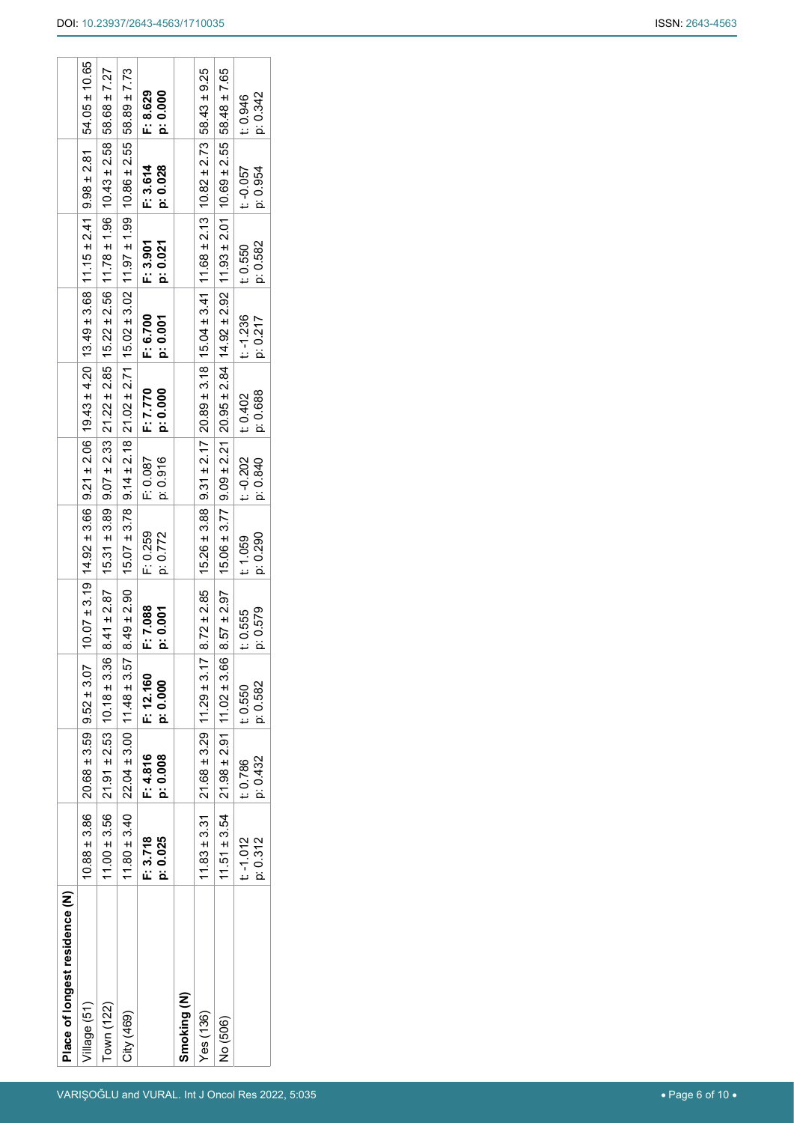$\overline{a}$ 

 $\overline{1}$  $\overline{\phantom{a}}$   $\sim$   $\sim$   $\sim$   $\sim$ 

 $\overline{\phantom{a}}$ 

 $\overline{a}$ 

|  | <b>ISSN: 2643-4563</b> |
|--|------------------------|
|--|------------------------|

| Place of longest residence (N) |                  |                                                    |           |                 |                                                                                                                                                    |             |          |             |          |           |                  |
|--------------------------------|------------------|----------------------------------------------------|-----------|-----------------|----------------------------------------------------------------------------------------------------------------------------------------------------|-------------|----------|-------------|----------|-----------|------------------|
| /illage (51)                   |                  | $10.88 \pm 3.86$ 20.68 $\pm 3.59$ 9.52 $\pm 3.07$  |           |                 | $10.07 \pm 3.19$   $4.92 \pm 3.66$   $9.21 \pm 2.06$   $19.43 \pm 4.20$   $13.49 \pm 3.68$   $11.15 \pm 2.41$   $9.98 \pm 2.81$   54.05 ± 10.65    |             |          |             |          |           |                  |
| Town (122)                     | $11.00 \pm 3.56$ | $21.91 \pm 2.53$ 10.18 ± 3.36                      |           | $8.41 \pm 2.87$ | $ 15.31 \pm 3.89 9.07 \pm 2.33 21.22 \pm 2.85 15.22 \pm 2.56 11.78 \pm 1.96 10.43 \pm 2.58 $                                                       |             |          |             |          |           | 58.68 ± 7.27     |
| City (469)                     | $11.80 \pm 3.40$ | $22.04 \pm 3.00$   11.48 $\pm$ 3.57                |           | $8.49 \pm 2.90$ | $15.07 \pm 3.78$ 9.14 $\pm 2.18$ 21.02 $\pm 2.71$ 15.02 $\pm 3.02$ 11.97 $\pm 1.99$ 10.86 $\pm 2.55$ 58.89 $\pm 7.73$                              |             |          |             |          |           |                  |
|                                | F: 3.718         | F: 4.816                                           | F: 12.160 | F: 7.088        | F: 0.259                                                                                                                                           | F: 0.087    | F: 7.770 | F: 6.700    | F: 3.901 | F: 3.614  | F: 8.629         |
|                                | p: 0.025         | p: 0.008                                           | p: 0.000  | p: 0.001        | p: 0.772                                                                                                                                           | p: 0.916    | p: 0.000 | p: 0.001    | p: 0.021 | p: 0.028  | p: 0.000         |
| Smoking (N)                    |                  |                                                    |           |                 |                                                                                                                                                    |             |          |             |          |           |                  |
| Yes(136)                       |                  | $11.83 \pm 3.31$ $21.68 \pm 3.29$ 11.29 $\pm 3.17$ |           |                 | $8.72 \pm 2.85$ (15.26 $\pm$ 3.88   9.31 $\pm$ 2.17   20.89 $\pm$ 3.18   15.04 $\pm$ 3.41   11.68 $\pm$ 2.13   10.82 $\pm$ 2.73   58.43 $\pm$ 9.25 |             |          |             |          |           |                  |
| No (506)                       | $11.51 \pm 3.54$ | $21.98 \pm 2.91$ 11.02 $\pm$ 3.66                  |           | $8.57 \pm 2.97$ | $15.06 \pm 3.77$   $9.09 \pm 2.21$   $20.95 \pm 2.84$   $14.92 \pm 2.92$   $11.93 \pm 2.01$   $10.69 \pm 2.55$                                     |             |          |             |          |           | $58.48 \pm 7.65$ |
|                                | $t - 1.012$      | t: 0.786                                           | t: 0.550  | t: 0.555        | t: 1.059                                                                                                                                           | $t: -0.202$ | t: 0.402 | $t - 1.236$ | t: 0.550 | t: -0.057 | t: 0.946         |
|                                | p: 0.312         | p: 0.432                                           | p: 0.582  | p: 0.579        | p: 0.290                                                                                                                                           | p: 0.840    | p: 0.688 | p: 0.217    | p: 0.582 | p: 0.954  | p: 0.342         |
|                                |                  |                                                    |           |                 |                                                                                                                                                    |             |          |             |          |           |                  |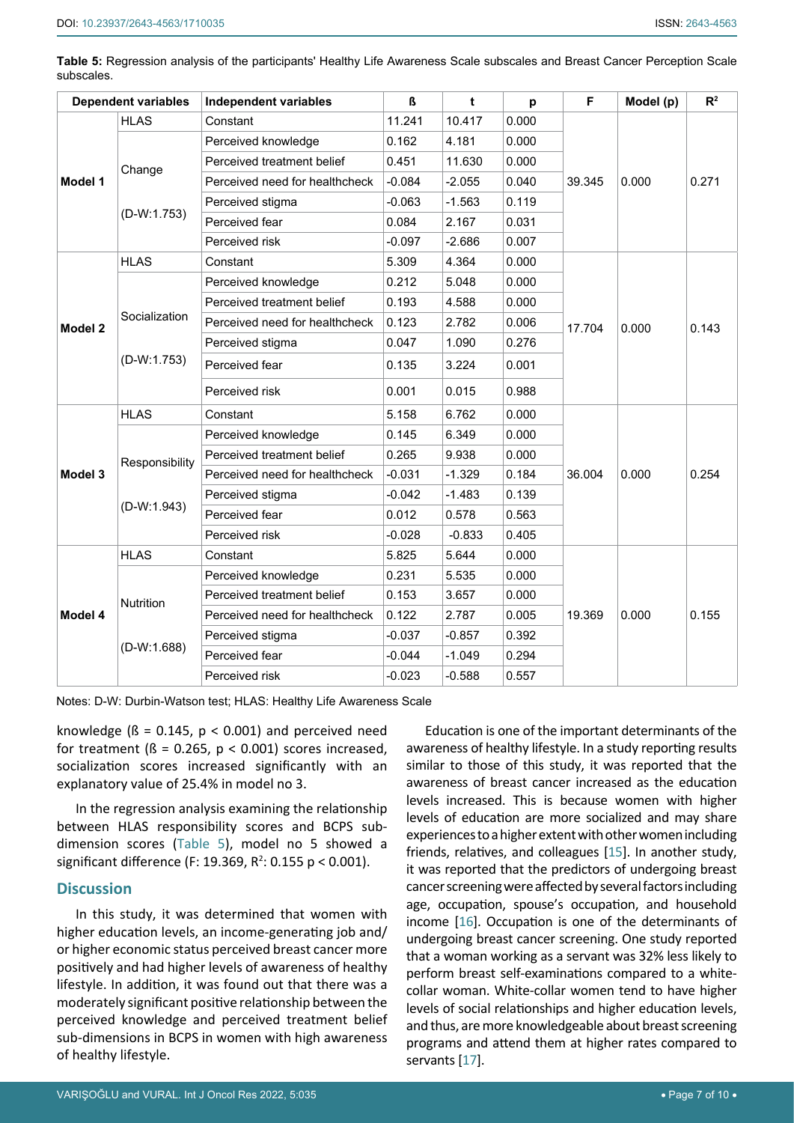<span id="page-6-0"></span>

| Table 5: Regression analysis of the participants' Healthy Life Awareness Scale subscales and Breast Cancer Perception Scale |  |  |  |  |  |
|-----------------------------------------------------------------------------------------------------------------------------|--|--|--|--|--|
| subscales.                                                                                                                  |  |  |  |  |  |

|         | <b>Dependent variables</b>      | <b>Independent variables</b>   | ß        | t        | p     | F      | Model (p) | $R^2$ |
|---------|---------------------------------|--------------------------------|----------|----------|-------|--------|-----------|-------|
|         | <b>HLAS</b>                     | Constant                       | 11.241   | 10.417   | 0.000 |        |           |       |
|         |                                 | Perceived knowledge            | 0.162    | 4.181    | 0.000 |        |           |       |
|         | Change                          | Perceived treatment belief     | 0.451    | 11.630   | 0.000 |        |           |       |
| Model 1 |                                 | Perceived need for healthcheck | $-0.084$ | $-2.055$ | 0.040 | 39.345 | 0.000     | 0.271 |
|         |                                 | Perceived stigma               | $-0.063$ | $-1.563$ | 0.119 |        |           |       |
|         | $(D-W:1.753)$                   | Perceived fear                 | 0.084    | 2.167    | 0.031 |        |           |       |
|         |                                 | Perceived risk                 | $-0.097$ | $-2.686$ | 0.007 |        |           |       |
|         | <b>HLAS</b>                     | Constant                       | 5.309    | 4.364    | 0.000 |        |           |       |
|         |                                 | Perceived knowledge            | 0.212    | 5.048    | 0.000 |        |           |       |
|         |                                 | Perceived treatment belief     | 0.193    | 4.588    | 0.000 |        |           |       |
| Model 2 | Socialization                   | Perceived need for healthcheck | 0.123    | 2.782    | 0.006 | 17.704 | 0.000     | 0.143 |
|         |                                 | Perceived stigma               | 0.047    | 1.090    | 0.276 |        |           |       |
|         | $(D-W:1.753)$                   | Perceived fear                 | 0.135    | 3.224    | 0.001 |        |           |       |
|         |                                 | Perceived risk                 | 0.001    | 0.015    | 0.988 |        |           |       |
|         | <b>HLAS</b>                     | Constant                       | 5.158    | 6.762    | 0.000 |        |           |       |
| Model 3 |                                 | Perceived knowledge            | 0.145    | 6.349    | 0.000 |        | 0.000     |       |
|         | Responsibility<br>$(D-W:1.943)$ | Perceived treatment belief     | 0.265    | 9.938    | 0.000 |        |           |       |
|         |                                 | Perceived need for healthcheck | $-0.031$ | $-1.329$ | 0.184 | 36.004 |           | 0.254 |
|         |                                 | Perceived stigma               | $-0.042$ | $-1.483$ | 0.139 |        |           |       |
|         |                                 | Perceived fear                 | 0.012    | 0.578    | 0.563 |        |           |       |
|         |                                 | Perceived risk                 | $-0.028$ | $-0.833$ | 0.405 |        |           |       |
|         | <b>HLAS</b>                     | Constant                       | 5.825    | 5.644    | 0.000 |        |           |       |
|         |                                 | Perceived knowledge            | 0.231    | 5.535    | 0.000 |        |           |       |
|         | Nutrition                       | Perceived treatment belief     | 0.153    | 3.657    | 0.000 |        |           |       |
| Model 4 |                                 | Perceived need for healthcheck | 0.122    | 2.787    | 0.005 | 19.369 | 0.000     | 0.155 |
|         |                                 | Perceived stigma               | $-0.037$ | $-0.857$ | 0.392 |        |           |       |
|         | $(D-W:1.688)$                   | Perceived fear                 | $-0.044$ | $-1.049$ | 0.294 |        |           |       |
|         |                                 | Perceived risk                 | $-0.023$ | $-0.588$ | 0.557 |        |           |       |

Notes: D-W: Durbin-Watson test; HLAS: Healthy Life Awareness Scale

knowledge ( $\beta$  = 0.145,  $p < 0.001$ ) and perceived need for treatment ( $\beta$  = 0.265,  $p$  < 0.001) scores increased, socialization scores increased significantly with an explanatory value of 25.4% in model no 3.

In the regression analysis examining the relationship between HLAS responsibility scores and BCPS subdimension scores ([Table 5\)](#page-6-0), model no 5 showed a significant difference (F: 19.369,  $R^2$ : 0.155 p < 0.001).

#### **Discussion**

In this study, it was determined that women with higher education levels, an income-generating job and/ or higher economic status perceived breast cancer more positively and had higher levels of awareness of healthy lifestyle. In addition, it was found out that there was a moderately significant positive relationship between the perceived knowledge and perceived treatment belief sub-dimensions in BCPS in women with high awareness of healthy lifestyle.

Education is one of the important determinants of the awareness of healthy lifestyle. In a study reporting results similar to those of this study, it was reported that the awareness of breast cancer increased as the education levels increased. This is because women with higher levels of education are more socialized and may share experiences to a higher extent with other women including friends, relatives, and colleagues [\[15\]](#page-8-14). In another study, it was reported that the predictors of undergoing breast cancer screening were affected by several factors including age, occupation, spouse's occupation, and household income [\[16\]](#page-9-0). Occupation is one of the determinants of undergoing breast cancer screening. One study reported that a woman working as a servant was 32% less likely to perform breast self-examinations compared to a whitecollar woman. White-collar women tend to have higher levels of social relationships and higher education levels, and thus, are more knowledgeable about breast screening programs and attend them at higher rates compared to servants [[17\]](#page-9-1).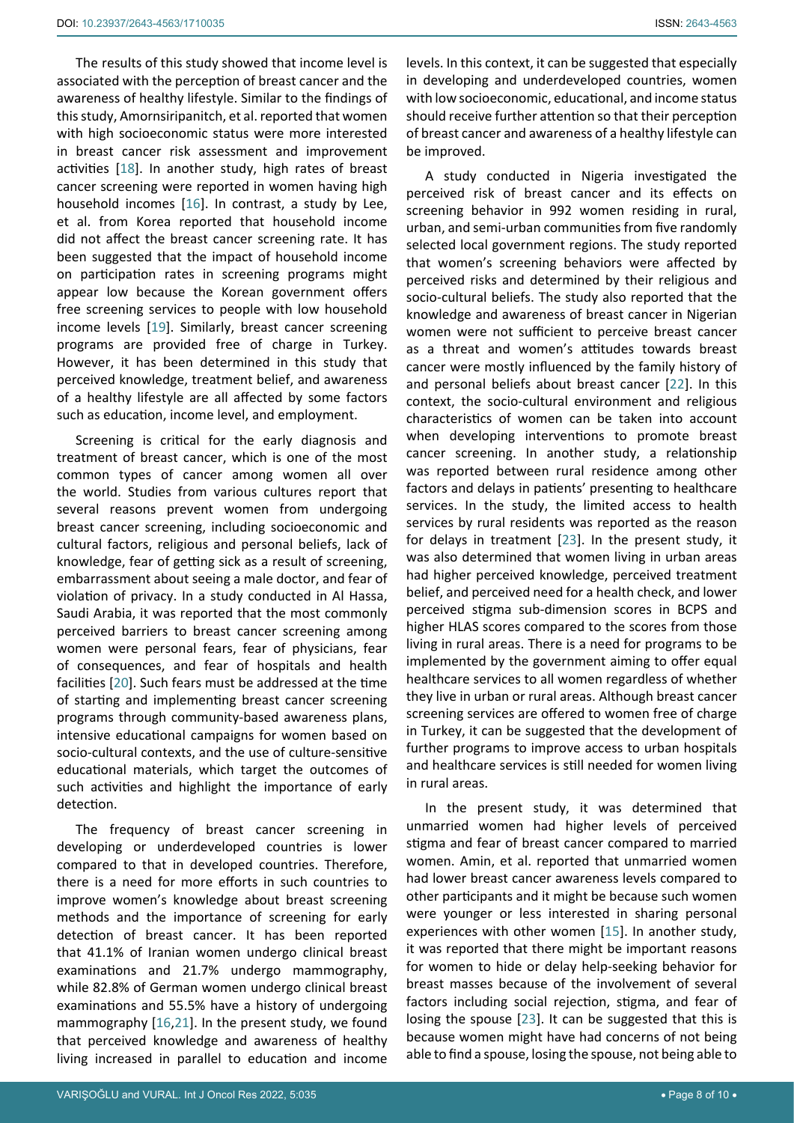The results of this study showed that income level is associated with the perception of breast cancer and the awareness of healthy lifestyle. Similar to the findings of this study, Amornsiripanitch, et al. reported that women with high socioeconomic status were more interested in breast cancer risk assessment and improvement activities [[18](#page-9-4)]. In another study, high rates of breast cancer screening were reported in women having high household incomes [\[16](#page-9-0)]. In contrast, a study by Lee, et al. from Korea reported that household income did not affect the breast cancer screening rate. It has been suggested that the impact of household income on participation rates in screening programs might appear low because the Korean government offers free screening services to people with low household income levels [\[19](#page-9-5)]. Similarly, breast cancer screening programs are provided free of charge in Turkey. However, it has been determined in this study that perceived knowledge, treatment belief, and awareness of a healthy lifestyle are all affected by some factors such as education, income level, and employment.

Screening is critical for the early diagnosis and treatment of breast cancer, which is one of the most common types of cancer among women all over the world. Studies from various cultures report that several reasons prevent women from undergoing breast cancer screening, including socioeconomic and cultural factors, religious and personal beliefs, lack of knowledge, fear of getting sick as a result of screening, embarrassment about seeing a male doctor, and fear of violation of privacy. In a study conducted in Al Hassa, Saudi Arabia, it was reported that the most commonly perceived barriers to breast cancer screening among women were personal fears, fear of physicians, fear of consequences, and fear of hospitals and health facilities [\[20](#page-9-6)]. Such fears must be addressed at the time of starting and implementing breast cancer screening programs through community-based awareness plans, intensive educational campaigns for women based on socio-cultural contexts, and the use of culture-sensitive educational materials, which target the outcomes of such activities and highlight the importance of early detection.

The frequency of breast cancer screening in developing or underdeveloped countries is lower compared to that in developed countries. Therefore, there is a need for more efforts in such countries to improve women's knowledge about breast screening methods and the importance of screening for early detection of breast cancer. It has been reported that 41.1% of Iranian women undergo clinical breast examinations and 21.7% undergo mammography, while 82.8% of German women undergo clinical breast examinations and 55.5% have a history of undergoing mammography [\[16](#page-9-0),[21](#page-9-7)]. In the present study, we found that perceived knowledge and awareness of healthy living increased in parallel to education and income

A study conducted in Nigeria investigated the perceived risk of breast cancer and its effects on screening behavior in 992 women residing in rural, urban, and semi-urban communities from five randomly selected local government regions. The study reported that women's screening behaviors were affected by perceived risks and determined by their religious and socio-cultural beliefs. The study also reported that the knowledge and awareness of breast cancer in Nigerian women were not sufficient to perceive breast cancer as a threat and women's attitudes towards breast cancer were mostly influenced by the family history of and personal beliefs about breast cancer [\[22](#page-9-2)]. In this context, the socio-cultural environment and religious characteristics of women can be taken into account when developing interventions to promote breast cancer screening. In another study, a relationship was reported between rural residence among other factors and delays in patients' presenting to healthcare services. In the study, the limited access to health services by rural residents was reported as the reason for delays in treatment [[23\]](#page-9-3). In the present study, it was also determined that women living in urban areas had higher perceived knowledge, perceived treatment belief, and perceived need for a health check, and lower perceived stigma sub-dimension scores in BCPS and higher HLAS scores compared to the scores from those living in rural areas. There is a need for programs to be implemented by the government aiming to offer equal healthcare services to all women regardless of whether they live in urban or rural areas. Although breast cancer screening services are offered to women free of charge in Turkey, it can be suggested that the development of further programs to improve access to urban hospitals and healthcare services is still needed for women living in rural areas.

In the present study, it was determined that unmarried women had higher levels of perceived stigma and fear of breast cancer compared to married women. Amin, et al. reported that unmarried women had lower breast cancer awareness levels compared to other participants and it might be because such women were younger or less interested in sharing personal experiences with other women [[15\]](#page-8-14). In another study, it was reported that there might be important reasons for women to hide or delay help-seeking behavior for breast masses because of the involvement of several factors including social rejection, stigma, and fear of losing the spouse [\[23](#page-9-3)]. It can be suggested that this is because women might have had concerns of not being able to find a spouse, losing the spouse, not being able to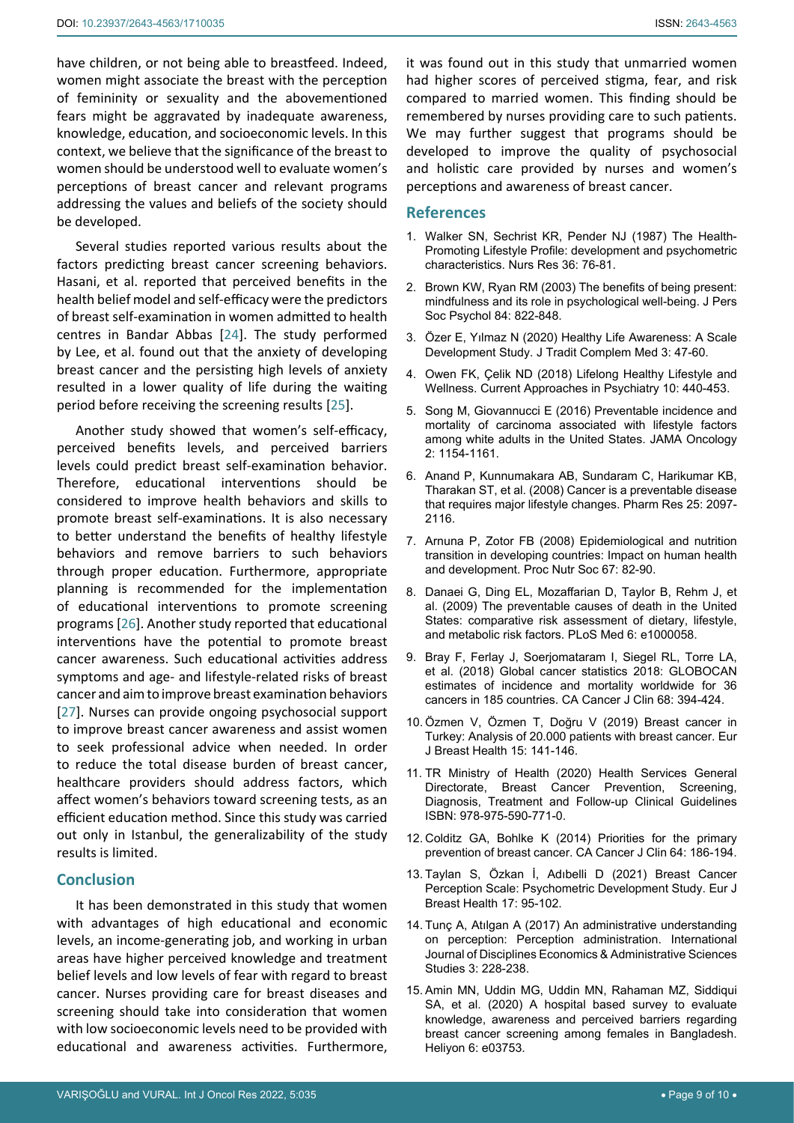have children, or not being able to breastfeed. Indeed, women might associate the breast with the perception of femininity or sexuality and the abovementioned fears might be aggravated by inadequate awareness, knowledge, education, and socioeconomic levels. In this context, we believe that the significance of the breast to women should be understood well to evaluate women's perceptions of breast cancer and relevant programs addressing the values and beliefs of the society should be developed.

Several studies reported various results about the factors predicting breast cancer screening behaviors. Hasani, et al. reported that perceived benefits in the health belief model and self-efficacy were the predictors of breast self-examination in women admitted to health centres in Bandar Abbas [\[24](#page-9-8)]. The study performed by Lee, et al. found out that the anxiety of developing breast cancer and the persisting high levels of anxiety resulted in a lower quality of life during the waiting period before receiving the screening results [[25](#page-9-9)].

Another study showed that women's self-efficacy, perceived benefits levels, and perceived barriers levels could predict breast self-examination behavior. Therefore, educational interventions should be considered to improve health behaviors and skills to promote breast self-examinations. It is also necessary to better understand the benefits of healthy lifestyle behaviors and remove barriers to such behaviors through proper education. Furthermore, appropriate planning is recommended for the implementation of educational interventions to promote screening programs [[26\]](#page-9-10). Another study reported that educational interventions have the potential to promote breast cancer awareness. Such educational activities address symptoms and age- and lifestyle-related risks of breast cancer and aim to improve breast examination behaviors [[27](#page-9-11)]. Nurses can provide ongoing psychosocial support to improve breast cancer awareness and assist women to seek professional advice when needed. In order to reduce the total disease burden of breast cancer, healthcare providers should address factors, which affect women's behaviors toward screening tests, as an efficient education method. Since this study was carried out only in Istanbul, the generalizability of the study results is limited.

#### **Conclusion**

It has been demonstrated in this study that women with advantages of high educational and economic levels, an income-generating job, and working in urban areas have higher perceived knowledge and treatment belief levels and low levels of fear with regard to breast cancer. Nurses providing care for breast diseases and screening should take into consideration that women with low socioeconomic levels need to be provided with educational and awareness activities. Furthermore,

it was found out in this study that unmarried women had higher scores of perceived stigma, fear, and risk compared to married women. This finding should be remembered by nurses providing care to such patients. We may further suggest that programs should be developed to improve the quality of psychosocial and holistic care provided by nurses and women's perceptions and awareness of breast cancer.

### **References**

- <span id="page-8-0"></span>1. [Walker SN, Sechrist KR, Pender NJ \(1987\) The Health-](https://pubmed.ncbi.nlm.nih.gov/3644262/)[Promoting Lifestyle Profile: development and psychometric](https://pubmed.ncbi.nlm.nih.gov/3644262/)  [characteristics. Nurs Res 36: 76-81.](https://pubmed.ncbi.nlm.nih.gov/3644262/)
- <span id="page-8-1"></span>2. [Brown KW, Ryan RM \(2003\) The benefits of being present:](https://pubmed.ncbi.nlm.nih.gov/12703651/)  [mindfulness and its role in psychological well-being. J Pers](https://pubmed.ncbi.nlm.nih.gov/12703651/)  [Soc Psychol 84: 822-848.](https://pubmed.ncbi.nlm.nih.gov/12703651/)
- <span id="page-8-2"></span>3. [Özer E, Yılmaz N \(2020\) Healthy Life Awareness: A Scale](https://www.turkiyeklinikleri.com/article/en-healthy-life-awareness-a-scale-development-study-87866.html)  Development Study. [J Tradit Complem Med 3: 47-60.](https://www.turkiyeklinikleri.com/article/en-healthy-life-awareness-a-scale-development-study-87866.html)
- <span id="page-8-3"></span>4. [Owen FK, Çelik ND \(2018\) Lifelong Healthy Lifestyle and](https://dergipark.org.tr/tr/pub/pgy/issue/32777/364108)  [Wellness. Current Approaches in Psychiatry 10: 440-453.](https://dergipark.org.tr/tr/pub/pgy/issue/32777/364108)
- <span id="page-8-4"></span>5. [Song M, Giovannucci E \(2016\) Preventable incidence and](https://www.ncbi.nlm.nih.gov/pmc/articles/PMC5016199/)  [mortality of carcinoma associated with lifestyle factors](https://www.ncbi.nlm.nih.gov/pmc/articles/PMC5016199/)  [among white adults in the United States.](https://www.ncbi.nlm.nih.gov/pmc/articles/PMC5016199/) JAMA Oncology [2: 1154-1161.](https://www.ncbi.nlm.nih.gov/pmc/articles/PMC5016199/)
- <span id="page-8-5"></span>6. [Anand P, Kunnumakara AB, Sundaram C, Harikumar KB,](https://www.ncbi.nlm.nih.gov/pmc/articles/PMC2515569/)  [Tharakan ST, et al. \(2008\) Cancer is a preventable disease](https://www.ncbi.nlm.nih.gov/pmc/articles/PMC2515569/)  [that requires major lifestyle changes. Pharm Res 25: 2097-](https://www.ncbi.nlm.nih.gov/pmc/articles/PMC2515569/) [2116.](https://www.ncbi.nlm.nih.gov/pmc/articles/PMC2515569/)
- <span id="page-8-6"></span>7. [Arnuna P, Zotor FB \(2008\) Epidemiological and nutrition](https://pubmed.ncbi.nlm.nih.gov/18234135/)  [transition in developing countries: Impact on human health](https://pubmed.ncbi.nlm.nih.gov/18234135/)  [and development. Proc Nutr Soc 67: 82-90.](https://pubmed.ncbi.nlm.nih.gov/18234135/)
- <span id="page-8-7"></span>8. [Danaei G, Ding EL, Mozaffarian D, Taylor B, Rehm J, et](https://pubmed.ncbi.nlm.nih.gov/19399161/)  [al. \(2009\) The preventable causes of death in the United](https://pubmed.ncbi.nlm.nih.gov/19399161/)  [States: comparative risk assessment of dietary, lifestyle,](https://pubmed.ncbi.nlm.nih.gov/19399161/)  [and metabolic risk factors. PLoS Med 6: e1000058.](https://pubmed.ncbi.nlm.nih.gov/19399161/)
- <span id="page-8-8"></span>9. [Bray F, Ferlay J, Soerjomataram I, Siegel RL, Torre LA,](https://pubmed.ncbi.nlm.nih.gov/30207593/)  [et al. \(2018\) Global cancer statistics 2018: GLOBOCAN](https://pubmed.ncbi.nlm.nih.gov/30207593/)  [estimates of incidence and mortality worldwide for 36](https://pubmed.ncbi.nlm.nih.gov/30207593/)  [cancers in 185 countries. CA Cancer J Clin 68: 394-424.](https://pubmed.ncbi.nlm.nih.gov/30207593/)
- <span id="page-8-9"></span>10. [Özmen V, Özmen T, Doğru V \(2019\) Breast cancer in](https://pubmed.ncbi.nlm.nih.gov/31312788/)  [Turkey: Analysis of 20.000 patients with breast cancer. Eur](https://pubmed.ncbi.nlm.nih.gov/31312788/)  [J Breast Health 15: 141-146.](https://pubmed.ncbi.nlm.nih.gov/31312788/)
- <span id="page-8-10"></span>11. [TR Ministry of Health \(2020\) Health Services General](https://dosyamerkez.saglik.gov.tr/Eklenti/38131,memekanskr20200720pdf.pdf?0)  [Directorate, Breast Cancer Prevention, Screening,](https://dosyamerkez.saglik.gov.tr/Eklenti/38131,memekanskr20200720pdf.pdf?0)  [Diagnosis, Treatment and Follow-up Clinical Guidelines](https://dosyamerkez.saglik.gov.tr/Eklenti/38131,memekanskr20200720pdf.pdf?0)  [ISBN: 978-975-590-771-0.](https://dosyamerkez.saglik.gov.tr/Eklenti/38131,memekanskr20200720pdf.pdf?0)
- <span id="page-8-11"></span>12. [Colditz GA, Bohlke K \(2014\) Priorities for the primary](https://pubmed.ncbi.nlm.nih.gov/24647877/)  [prevention of breast cancer. CA Cancer J Clin 64: 186-194.](https://pubmed.ncbi.nlm.nih.gov/24647877/)
- <span id="page-8-12"></span>13. [Taylan S, Özkan İ, Adıbelli D \(2021\) Breast Cancer](https://www.ncbi.nlm.nih.gov/pmc/articles/PMC8025717/)  [Perception Scale: Psychometric Development Study.](https://www.ncbi.nlm.nih.gov/pmc/articles/PMC8025717/) Eur J [Breast Health 17: 95-102.](https://www.ncbi.nlm.nih.gov/pmc/articles/PMC8025717/)
- <span id="page-8-13"></span>14. Tunç A, Atılgan A (2017) An administrative understanding on perception: Perception administration. International Journal of Disciplines Economics & Administrative Sciences Studies 3: 228-238.
- <span id="page-8-14"></span>15. [Amin MN, Uddin MG, Uddin MN, Rahaman MZ, Siddiqui](https://www.cell.com/heliyon/fulltext/S2405-8440(20)30598-3?_returnURL=https%3A%2F%2Flinkinghub.elsevier.com%2Fretrieve%2Fpii%2FS2405844020305983%3Fshowall%3Dtrue)  [SA, et al. \(2020\) A hospital based survey to evaluate](https://www.cell.com/heliyon/fulltext/S2405-8440(20)30598-3?_returnURL=https%3A%2F%2Flinkinghub.elsevier.com%2Fretrieve%2Fpii%2FS2405844020305983%3Fshowall%3Dtrue)  [knowledge, awareness and perceived barriers regarding](https://www.cell.com/heliyon/fulltext/S2405-8440(20)30598-3?_returnURL=https%3A%2F%2Flinkinghub.elsevier.com%2Fretrieve%2Fpii%2FS2405844020305983%3Fshowall%3Dtrue)  [breast cancer screening among females in Bangladesh.](https://www.cell.com/heliyon/fulltext/S2405-8440(20)30598-3?_returnURL=https%3A%2F%2Flinkinghub.elsevier.com%2Fretrieve%2Fpii%2FS2405844020305983%3Fshowall%3Dtrue)  [Heliyon 6: e03753.](https://www.cell.com/heliyon/fulltext/S2405-8440(20)30598-3?_returnURL=https%3A%2F%2Flinkinghub.elsevier.com%2Fretrieve%2Fpii%2FS2405844020305983%3Fshowall%3Dtrue)